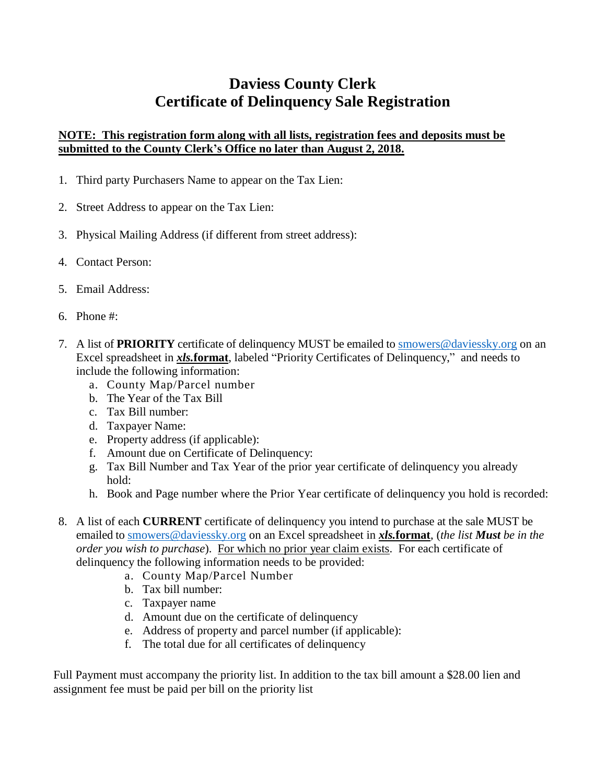# **Daviess County Clerk Certificate of Delinquency Sale Registration**

### **NOTE: This registration form along with all lists, registration fees and deposits must be submitted to the County Clerk's Office no later than August 2, 2018.**

- 1. Third party Purchasers Name to appear on the Tax Lien:
- 2. Street Address to appear on the Tax Lien:
- 3. Physical Mailing Address (if different from street address):
- 4. Contact Person:
- 5. Email Address:
- 6. Phone #:
- 7. A list of **PRIORITY** certificate of delinquency MUST be emailed to [smowers@daviessky.org](mailto:smowers@daviessky.org) on an Excel spreadsheet in *xls.***format**, labeled "Priority Certificates of Delinquency," and needs to include the following information:
	- a. County Map/Parcel number
	- b. The Year of the Tax Bill
	- c. Tax Bill number:
	- d. Taxpayer Name:
	- e. Property address (if applicable):
	- f. Amount due on Certificate of Delinquency:
	- g. Tax Bill Number and Tax Year of the prior year certificate of delinquency you already hold:
	- h. Book and Page number where the Prior Year certificate of delinquency you hold is recorded:
- 8. A list of each **CURRENT** certificate of delinquency you intend to purchase at the sale MUST be emailed to [smowers@daviessky.org](mailto:smowers@daviessky.org) on an Excel spreadsheet in *xls.***format**, (*the list Must be in the order you wish to purchase*). For which no prior year claim exists. For each certificate of delinquency the following information needs to be provided:
	- a. County Map/Parcel Number
	- b. Tax bill number:
	- c. Taxpayer name
	- d. Amount due on the certificate of delinquency
	- e. Address of property and parcel number (if applicable):
	- f. The total due for all certificates of delinquency

Full Payment must accompany the priority list. In addition to the tax bill amount a \$28.00 lien and assignment fee must be paid per bill on the priority list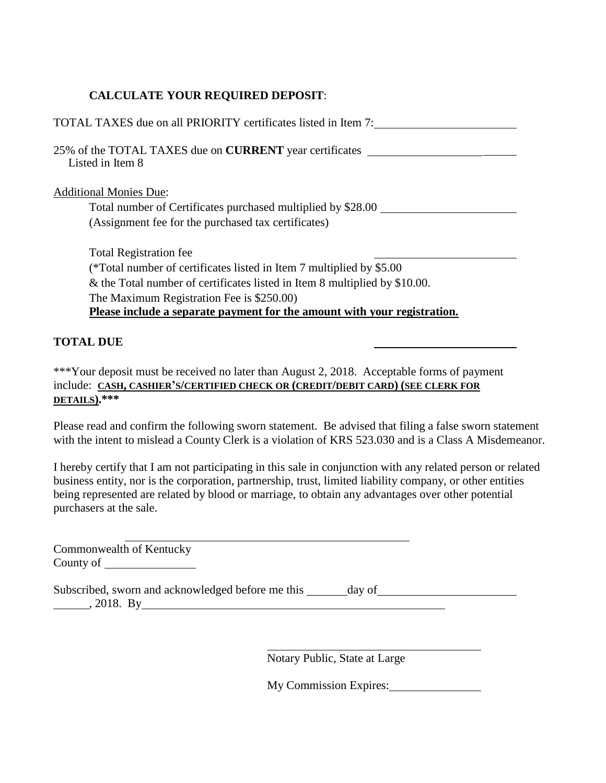### **CALCULATE YOUR REQUIRED DEPOSIT**:

| TOTAL TAXES due on all PRIORITY certificates listed in Item 7:                                |
|-----------------------------------------------------------------------------------------------|
| 25% of the TOTAL TAXES due on <b>CURRENT</b> year certificates<br>Listed in Item 8            |
| <b>Additional Monies Due:</b><br>Total number of Certificates purchased multiplied by \$28.00 |
| (Assignment fee for the purchased tax certificates)                                           |
| <b>Total Registration fee</b>                                                                 |
| (*Total number of certificates listed in Item 7 multiplied by \$5.00)                         |
| & the Total number of certificates listed in Item 8 multiplied by \$10.00.                    |
| The Maximum Registration Fee is \$250.00)                                                     |
| Please include a separate payment for the amount with your registration.                      |
| TAL DUE                                                                                       |

\*\*\*Your deposit must be received no later than August 2, 2018. Acceptable forms of payment include: **CASH, CASHIER'S/CERTIFIED CHECK OR (CREDIT/DEBIT CARD) (SEE CLERK FOR DETAILS).\*\*\***

Please read and confirm the following sworn statement. Be advised that filing a false sworn statement with the intent to mislead a County Clerk is a violation of KRS 523.030 and is a Class A Misdemeanor.

I hereby certify that I am not participating in this sale in conjunction with any related person or related business entity, nor is the corporation, partnership, trust, limited liability company, or other entities being represented are related by blood or marriage, to obtain any advantages over other potential purchasers at the sale.

Commonwealth of Kentucky County of <u>counts</u>

Subscribed, sworn and acknowledged before me this \_\_\_\_\_\_ day of\_\_\_\_\_\_\_\_\_\_\_\_\_\_\_\_\_\_  $\frac{1}{2018. \text{ By}}$ 

Notary Public, State at Large

My Commission Expires: